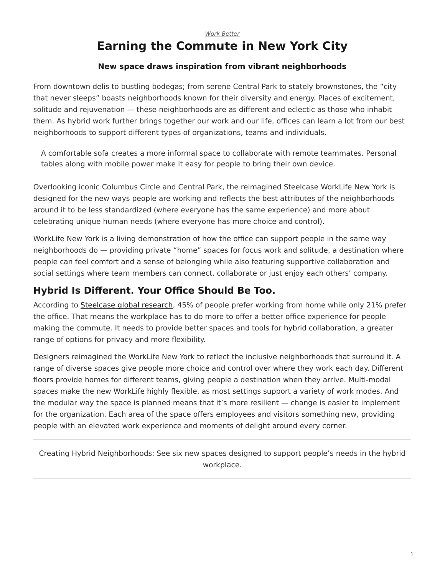#### *[Work Better](https://www.steelcase.com/research/topics/work-better/)*

# <span id="page-0-0"></span>**Earning the Commute in New York City**

#### **New space draws inspiration from vibrant neighborhoods**

From downtown delis to bustling bodegas; from serene Central Park to stately brownstones, the "city that never sleeps" boasts neighborhoods known for their diversity and energy. Places of excitement, solitude and rejuvenation — these neighborhoods are as different and eclectic as those who inhabit them. As hybrid work further brings together our work and our life, offices can learn a lot from our best neighborhoods to support different types of organizations, teams and individuals.

A comfortable sofa creates a more informal space to collaborate with remote teammates. Personal tables along with mobile power make it easy for people to bring their own device.

Overlooking iconic Columbus Circle and Central Park, the reimagined Steelcase WorkLife New York is designed for the new ways people are working and reflects the best attributes of the neighborhoods around it to be less standardized (where everyone has the same experience) and more about celebrating unique human needs (where everyone has more choice and control).

WorkLife New York is a living demonstration of how the office can support people in the same way neighborhoods do — providing private "home" spaces for focus work and solitude, a destination where people can feel comfort and a sense of belonging while also featuring supportive collaboration and social settings where team members can connect, collaborate or just enjoy each others' company.

#### **Hybrid Is Different. Your Office Should Be Too.**

According to [Steelcase global research,](https://www.steelcase.com/hybrid-work-global-report/) 45% of people prefer working from home while only 21% prefer the office. That means the workplace has to do more to offer a better office experience for people making the commute. It needs to provide better spaces and tools for [hybrid collaboration,](https://www.steelcase.com/spaces/hybrid-collection/) a greater range of options for privacy and more flexibility.

Designers reimagined the WorkLife New York to reflect the inclusive neighborhoods that surround it. A range of diverse spaces give people more choice and control over where they work each day. Different floors provide homes for different teams, giving people a destination when they arrive. Multi-modal spaces make the new WorkLife highly flexible, as most settings support a variety of work modes. And the modular way the space is planned means that it's more resilient — change is easier to implement for the organization. Each area of the space offers employees and visitors something new, providing people with an elevated work experience and moments of delight around every corner.

Creating Hybrid Neighborhoods: See six new spaces designed to support people's needs in the hybrid workplace.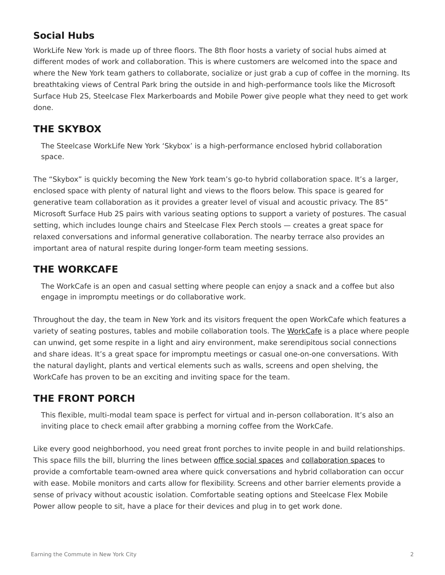## **Social Hubs**

WorkLife New York is made up of three floors. The 8th floor hosts a variety of social hubs aimed at different modes of work and collaboration. This is where customers are welcomed into the space and where the New York team gathers to collaborate, socialize or just grab a cup of coffee in the morning. Its breathtaking views of Central Park bring the outside in and high-performance tools like the Microsoft Surface Hub 2S, Steelcase Flex Markerboards and Mobile Power give people what they need to get work done.

#### **THE SKYBOX**

The Steelcase WorkLife New York 'Skybox' is a high-performance enclosed hybrid collaboration space.

The "Skybox" is quickly becoming the New York team's go-to hybrid collaboration space. It's a larger, enclosed space with plenty of natural light and views to the floors below. This space is geared for generative team collaboration as it provides a greater level of visual and acoustic privacy. The 85" Microsoft Surface Hub 2S pairs with various seating options to support a variety of postures. The casual setting, which includes lounge chairs and Steelcase Flex Perch stools — creates a great space for relaxed conversations and informal generative collaboration. The nearby terrace also provides an important area of natural respite during longer-form team meeting sessions.

#### **THE WORKCAFE**

The WorkCafe is an open and casual setting where people can enjoy a snack and a coffee but also engage in impromptu meetings or do collaborative work.

Throughout the day, the team in New York and its visitors frequent the open WorkCafe which features a variety of seating postures, tables and mobile collaboration tools. The [WorkCafe](https://www.steelcase.com/spaces-inspiration/resilient-workplace/workcafe/) is a place where people can unwind, get some respite in a light and airy environment, make serendipitous social connections and share ideas. It's a great space for impromptu meetings or casual one-on-one conversations. With the natural daylight, plants and vertical elements such as walls, screens and open shelving, the WorkCafe has proven to be an exciting and inviting space for the team.

### **THE FRONT PORCH**

This flexible, multi-modal team space is perfect for virtual and in-person collaboration. It's also an inviting place to check email after grabbing a morning coffee from the WorkCafe.

Like every good neighborhood, you need great front porches to invite people in and build relationships. This space fills the bill, blurring the lines between [office social spaces](https://www.steelcase.com/social-hub/) and [collaboration spaces](https://www.steelcase.com/spaces/work-better/collaboration-spaces/) to provide a comfortable team-owned area where quick conversations and hybrid collaboration can occur with ease. Mobile monitors and carts allow for flexibility. Screens and other barrier elements provide a sense of privacy without acoustic isolation. Comfortable seating options and Steelcase Flex Mobile Power allow people to sit, have a place for their devices and plug in to get work done.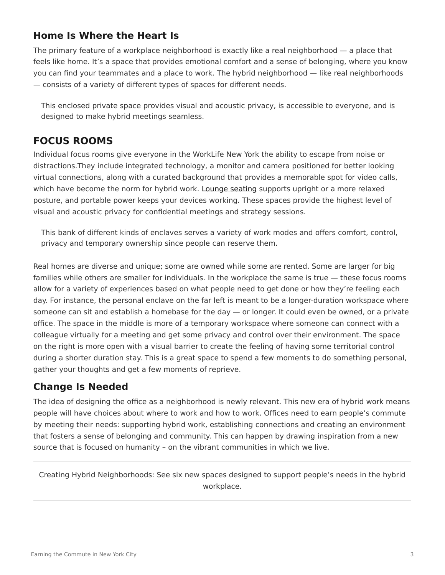#### **Home Is Where the Heart Is**

The primary feature of a workplace neighborhood is exactly like a real neighborhood — a place that feels like home. It's a space that provides emotional comfort and a sense of belonging, where you know you can find your teammates and a place to work. The hybrid neighborhood — like real neighborhoods — consists of a variety of different types of spaces for different needs.

This enclosed private space provides visual and acoustic privacy, is accessible to everyone, and is designed to make hybrid meetings seamless.

#### **FOCUS ROOMS**

Individual focus rooms give everyone in the WorkLife New York the ability to escape from noise or distractions.They include integrated technology, a monitor and camera positioned for better looking virtual connections, along with a curated background that provides a memorable spot for video calls, which have become the norm for hybrid work. [Lounge seating](https://www.steelcase.com/products/lounge-chairs/) supports upright or a more relaxed posture, and portable power keeps your devices working. These spaces provide the highest level of visual and acoustic privacy for confidential meetings and strategy sessions.

This bank of different kinds of enclaves serves a variety of work modes and offers comfort, control, privacy and temporary ownership since people can reserve them.

Real homes are diverse and unique; some are owned while some are rented. Some are larger for big families while others are smaller for individuals. In the workplace the same is true — these focus rooms allow for a variety of experiences based on what people need to get done or how they're feeling each day. For instance, the personal enclave on the far left is meant to be a longer-duration workspace where someone can sit and establish a homebase for the day — or longer. It could even be owned, or a private office. The space in the middle is more of a temporary workspace where someone can connect with a colleague virtually for a meeting and get some privacy and control over their environment. The space on the right is more open with a visual barrier to create the feeling of having some territorial control during a shorter duration stay. This is a great space to spend a few moments to do something personal, gather your thoughts and get a few moments of reprieve.

#### **Change Is Needed**

The idea of designing the office as a neighborhood is newly relevant. This new era of hybrid work means people will have choices about where to work and how to work. Offices need to earn people's commute by meeting their needs: supporting hybrid work, establishing connections and creating an environment that fosters a sense of belonging and community. This can happen by drawing inspiration from a new source that is focused on humanity – on the vibrant communities in which we live.

Creating Hybrid Neighborhoods: See six new spaces designed to support people's needs in the hybrid workplace.